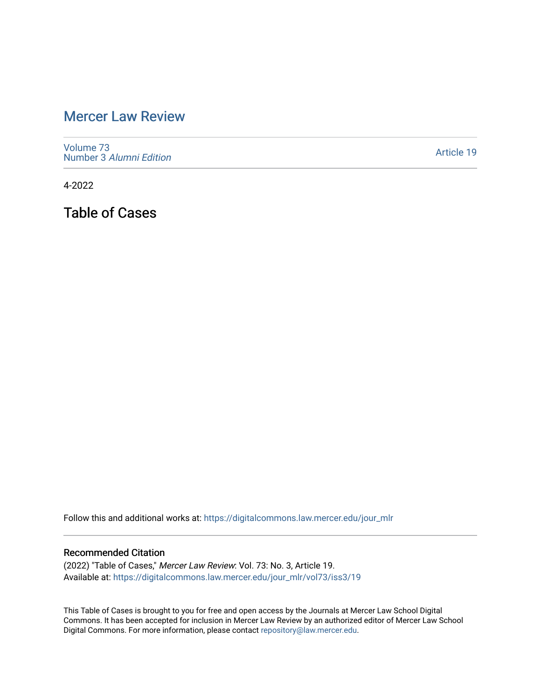## [Mercer Law Review](https://digitalcommons.law.mercer.edu/jour_mlr)

[Volume 73](https://digitalcommons.law.mercer.edu/jour_mlr/vol73) Number 3 [Alumni Edition](https://digitalcommons.law.mercer.edu/jour_mlr/vol73/iss3) 

[Article 19](https://digitalcommons.law.mercer.edu/jour_mlr/vol73/iss3/19) 

4-2022

Table of Cases

Follow this and additional works at: [https://digitalcommons.law.mercer.edu/jour\\_mlr](https://digitalcommons.law.mercer.edu/jour_mlr?utm_source=digitalcommons.law.mercer.edu%2Fjour_mlr%2Fvol73%2Fiss3%2F19&utm_medium=PDF&utm_campaign=PDFCoverPages)

## Recommended Citation

(2022) "Table of Cases," Mercer Law Review: Vol. 73: No. 3, Article 19. Available at: [https://digitalcommons.law.mercer.edu/jour\\_mlr/vol73/iss3/19](https://digitalcommons.law.mercer.edu/jour_mlr/vol73/iss3/19?utm_source=digitalcommons.law.mercer.edu%2Fjour_mlr%2Fvol73%2Fiss3%2F19&utm_medium=PDF&utm_campaign=PDFCoverPages) 

This Table of Cases is brought to you for free and open access by the Journals at Mercer Law School Digital Commons. It has been accepted for inclusion in Mercer Law Review by an authorized editor of Mercer Law School Digital Commons. For more information, please contact [repository@law.mercer.edu](mailto:repository@law.mercer.edu).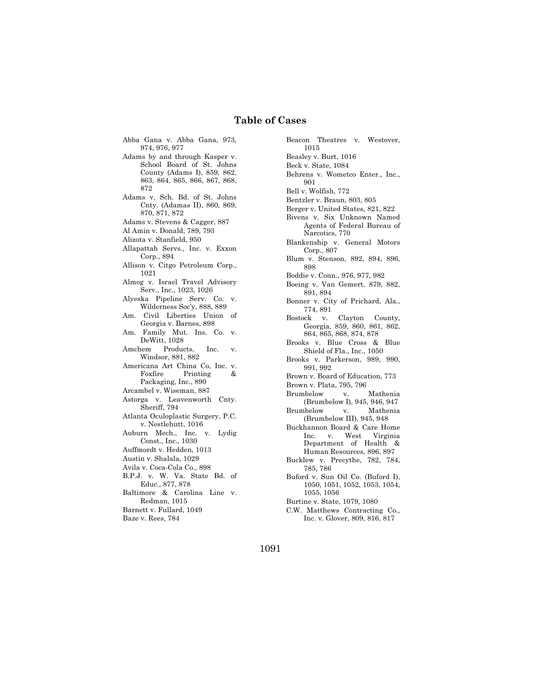## **Table of Cases**

- Abba Gana v. Abba Gana, 973, 974, 976, 977
- Adams by and through Kasper v. School Board of St. Johns County (Adams I), 859, 862, 863, 864, 865, 866, 867, 868, 872
- Adams v. Sch. Bd. of St. Johns Cnty. (Adamas II), 860, 869, 870, 871, 872
- Adams v. Stevens & Cagger, 887
- Al Amin v. Donald, 789, 793
- Alizota v. Stanfield, 950
- Allapattah Servs., Inc. v. Exxon Corp., 894
- Allison v. Citgo Petroleum Corp., 1021
- Almog v. Israel Travel Advisory Serv., Inc., 1023, 1026
- Alyeska Pipeline Serv. Co. v. Wilderness Soc'y, 888, 889
- Am. Civil Liberties Union of Georgia v. Barnes, 898
- Am. Family Mut. Ins. Co. v. DeWitt, 1028
- Amchem Products, Inc. v. Windsor, 881, 882
- Americana Art China Co, Inc. v.<br>Foxfire Printing & Printing & Packaging, Inc., 890
- Arcambel v. Wiseman, 887
- Astorga v. Leavenworth Cnty. Sheriff, 794
- Atlanta Oculoplastic Surgery, P.C. v. Nestlehutt, 1016
- Auburn Mech., Inc. v. Lydig Const., Inc., 1030
- Auffmordt v. Hedden, 1013
- Austin v. Shalala, 1029
- Avila v. Coca-Cola Co., 898
- B.P.J. v. W. Va. State Bd. of Educ., 877, 878
- Baltimore & Carolina Line v. Redman, 1015
- Barnett v. Fullard, 1049
- Baze v. Rees, 784

Beacon Theatres v. Westover, 1015 Beasley v. Burt, 1016 Beck v. State, 1084 Behrens v. Wometco Enter., Inc., 901 Bell v. Wolfish, 772 Bentzler v. Braun, 803, 805 Berger v. United States, 821, 822 Bivens v. Six Unknown Named Agents of Federal Bureau of Narcotics, 770 Blankenship v. General Motors Corp., 807 Blum v. Stenson, 892, 894, 896, 898 Boddie v. Conn., 976, 977, 982 Boeing v. Van Gemert, 879, 882, 891, 894 Bonner v. City of Prichard, Ala., 774, 891 Bostock v. Clayton County, Georgia, 859, 860, 861, 862, 864, 865, 868, 874, 878 Brooks v. Blue Cross & Blue Shield of Fla., Inc., 1050 Brooks v. Parkerson, 989, 990, 991, 992 Brown v. Board of Education, 773 Brown v. Plata, 795, 796 Brumbelow v. Mathenia (Brumbelow I), 945, 946, 947 Brumbelow v. Mathenia (Brumbelow III), 945, 948 Buckhannon Board & Care Home Inc. v. West Virginia Department of Health & Human Resources, 896, 897 Bucklew v. Precythe, 782, 784, 785, 786 Buford v. Sun Oil Co. (Buford I), 1050, 1051, 1052, 1053, 1054, 1055, 1056

- Burtine v. State, 1079, 1080
- C.W. Matthews Contracting Co., Inc. v. Glover, 809, 816, 817

1091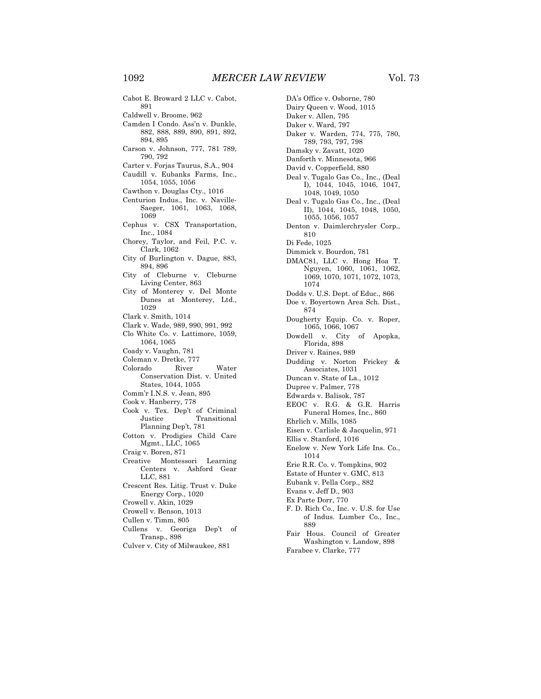- Caldwell v. Broome, 962
- Camden I Condo. Ass'n v. Dunkle, 882, 888, 889, 890, 891, 892, 894, 895
- Carson v. Johnson, 777, 781 789, 790, 792
- Carter v. Forjas Taurus, S.A., 904 Caudill v. Eubanks Farms, Inc.,
- 1054, 1055, 1056
- Cawthon v. Douglas Cty., 1016
- Centurion Indus., Inc. v. Naville-Saeger, 1061, 1063, 1068, 1069
- Cephus v. CSX Transportation, Inc., 1084
- Chorey, Taylor, and Feil, P.C. v. Clark, 1062
- City of Burlington v. Dague, 883, 894, 896
- City of Cleburne v. Cleburne Living Center, 863
- City of Monterey v. Del Monte Dunes at Monterey, Ltd., 1029
- Clark v. Smith, 1014
- Clark v. Wade, 989, 990, 991, 992
- Clo White Co. v. Lattimore, 1059, 1064, 1065
- Coady v. Vaughn, 781
- Coleman v. Dretke, 777
- Colorado River Water Conservation Dist. v. United States, 1044, 1055
- Comm'r I.N.S. v. Jean, 895
- Cook v. Hanberry, 778
- Cook v. Tex. Dep't of Criminal Justice Transitional Planning Dep't, 781
- Cotton v. Prodigies Child Care Mgmt., LLC, 1065
- Craig v. Boren, 871
- Creative Montessori Learning Centers v. Ashford Gear LLC, 881
- Crescent Res. Litig. Trust v. Duke Energy Corp., 1020
- Crowell v. Akin, 1029
- Crowell v. Benson, 1013
- Cullen v. Timm, 805
- Cullens v. Georiga Dep't of Transp., 898
- Culver v. City of Milwaukee, 881

DA's Office v. Osborne, 780 Dairy Queen v. Wood, 1015 Daker v. Allen, 795 Daker v. Ward, 797 Daker v. Warden, 774, 775, 780, 789, 793, 797, 798 Damsky v. Zavatt, 1020 Danforth v. Minnesota, 966 David v. Copperfield, 880 Deal v. Tugalo Gas Co., Inc., (Deal I), 1044, 1045, 1046, 1047, 1048, 1049, 1050 Deal v. Tugalo Gas Co., Inc., (Deal II), 1044, 1045, 1048, 1050, 1055, 1056, 1057 Denton v. Daimlerchrysler Corp., 810 Di Fede, 1025 Dimmick v. Bourdon, 781 DMAC81, LLC v. Hong Hoa T. Nguyen, 1060, 1061, 1062, 1069, 1070, 1071, 1072, 1073, 1074 Dodds v. U.S. Dept. of Educ., 866 Doe v. Boyertown Area Sch. Dist., 874 Dougherty Equip. Co. v. Roper, 1065, 1066, 1067 Dowdell v. City of Apopka, Florida, 898 Driver v. Raines, 989 Dudding v. Norton Frickey & Associates, 1031 Duncan v. State of La., 1012 Dupree v. Palmer, 778 Edwards v. Balisok, 787 EEOC v. R.G. & G.R. Harris Funeral Homes, Inc., 860 Ehrlich v. Mills, 1085 Eisen v. Carlisle & Jacquelin, 971 Ellis v. Stanford, 1016 Enelow v. New York Life Ins. Co., 1014 Erie R.R. Co. v. Tompkins, 902 Estate of Hunter v. GMC, 813 Eubank v. Pella Corp., 882 Evans v. Jeff D., 903 Ex Parte Dorr, 770 F. D. Rich Co., Inc. v. U.S. for Use of Indus. Lumber Co., Inc., 889

- Fair Hous. Council of Greater Washington v. Landow, 898
- Farabee v. Clarke, 777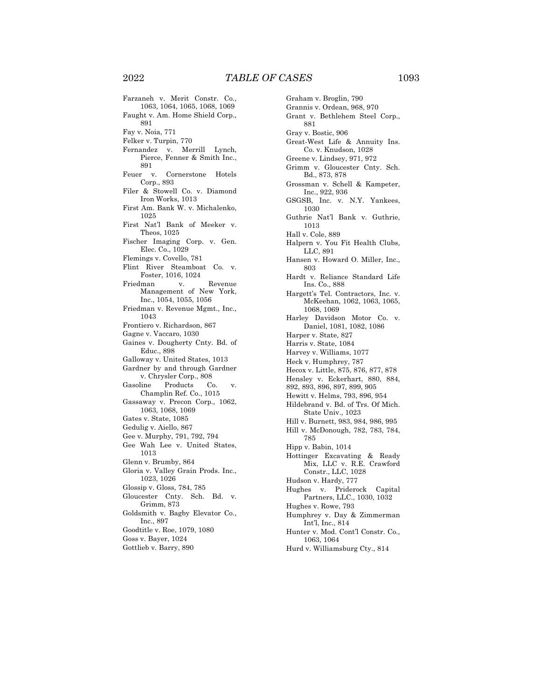Farzaneh v. Merit Constr. Co., 1063, 1064, 1065, 1068, 1069 Faught v. Am. Home Shield Corp., 891 Fay v. Noia, 771 Felker v. Turpin, 770 Fernandez v. Merrill Lynch, Pierce, Fenner & Smith Inc., 891 Feuer v. Cornerstone Hotels Corp., 893 Filer & Stowell Co. v. Diamond Iron Works, 1013 First Am. Bank W. v. Michalenko, 1025 First Nat'l Bank of Meeker v. Theos, 1025 Fischer Imaging Corp. v. Gen. Elec. Co., 1029 Flemings v. Covello, 781 Flint River Steamboat Co. v. Foster, 1016, 1024 Friedman v. Revenue Management of New York, Inc., 1054, 1055, 1056 Friedman v. Revenue Mgmt., Inc., 1043 Frontiero v. Richardson, 867 Gagne v. Vaccaro, 1030 Gaines v. Dougherty Cnty. Bd. of Educ., 898 Galloway v. United States, 1013 Gardner by and through Gardner v. Chrysler Corp., 808 Gasoline Products Co. v. Champlin Ref. Co., 1015 Gassaway v. Precon Corp., 1062, 1063, 1068, 1069 Gates v. State, 1085 Gedulig v. Aiello, 867 Gee v. Murphy, 791, 792, 794 Gee Wah Lee v. United States, 1013 Glenn v. Brumby, 864 Gloria v. Valley Grain Prods. Inc., 1023, 1026 Glossip v. Gloss, 784, 785 Gloucester Cnty. Sch. Bd. v. Grimm, 873 Goldsmith v. Bagby Elevator Co., Inc., 897 Goodtitle v. Roe, 1079, 1080 Goss v. Bayer, 1024 Gottlieb v. Barry, 890

Graham v. Broglin, 790 Grannis v. Ordean, 968, 970 Grant v. Bethlehem Steel Corp., 881 Gray v. Bostic, 906 Great-West Life & Annuity Ins. Co. v. Knudson, 1028 Greene v. Lindsey, 971, 972 Grimm v. Gloucester Cnty. Sch. Bd., 873, 878 Grossman v. Schell & Kampeter, Inc., 922, 936 GSGSB, Inc. v. N.Y. Yankees, 1030 Guthrie Nat'l Bank v. Guthrie, 1013 Hall v. Cole, 889 Halpern v. You Fit Health Clubs, LLC, 891 Hansen v. Howard O. Miller, Inc., 803 Hardt v. Reliance Standard Life Ins. Co., 888 Hargett's Tel. Contractors, Inc. v. McKeehan, 1062, 1063, 1065, 1068, 1069 Harley Davidson Motor Co. v. Daniel, 1081, 1082, 1086 Harper v. State, 827 Harris v. State, 1084 Harvey v. Williams, 1077 Heck v. Humphrey, 787 Hecox v. Little, 875, 876, 877, 878 Hensley v. Eckerhart, 880, 884, 892, 893, 896, 897, 899, 905 Hewitt v. Helms, 793, 896, 954 Hildebrand v. Bd. of Trs. Of Mich. State Univ., 1023 Hill v. Burnett, 983, 984, 986, 995 Hill v. McDonough, 782, 783, 784, 785 Hipp v. Babin, 1014 Hottinger Excavating & Ready Mix, LLC v. R.E. Crawford Constr., LLC, 1028 Hudson v. Hardy, 777 Hughes v. Priderock Capital Partners, LLC., 1030, 1032 Hughes v. Rowe, 793 Humphrey v. Day & Zimmerman Int'l, Inc., 814 Hunter v. Mod. Cont'l Constr. Co., 1063, 1064

Hurd v. Williamsburg Cty., 814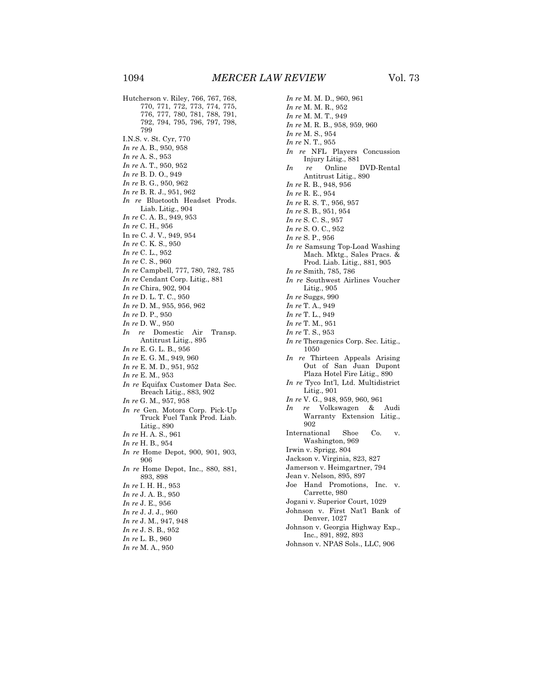Hutcherson v. Riley, 766, 767, 768, 770, 771, 772, 773, 774, 775, 776, 777, 780, 781, 788, 791, 792, 794, 795, 796, 797, 798, 799 I.N.S. v. St. Cyr, 770 *In re* A. B., 950, 958 *In re* A. S., 953 *In re* A. T., 950, 952 *In re* B. D. O., 949 *In re* B. G., 950, 962 *In re* B. R. J., 951, 962 *In re* Bluetooth Headset Prods. Liab. Litig., 904 *In re* C. A. B., 949, 953 *In re* C. H., 956 In re C. J. V., 949, 954 *In re* C. K. S., 950 *In re* C. L., 952 *In re* C. S., 960 *In re* Campbell, 777, 780, 782, 785 *In re* Cendant Corp. Litig., 881 *In re* Chira, 902, 904 *In re* D. L. T. C., 950 *In re* D. M., 955, 956, 962 *In re* D. P., 950 *In re* D. W., 950 *In re* Domestic Air Transp. Antitrust Litig., 895 *In re* E. G. L. B., 956 *In re* E. G. M., 949, 960 *In re* E. M. D., 951, 952 *In re* E. M., 953 *In re* Equifax Customer Data Sec. Breach Litig., 883, 902 *In re* G. M., 957, 958 *In re* Gen. Motors Corp. Pick-Up Truck Fuel Tank Prod. Liab. Litig., 890 *In re* H. A. S., 961 *In re* H. B., 954 *In re* Home Depot, 900, 901, 903, 906 *In re* Home Depot, Inc., 880, 881, 893, 898 *In re* I. H. H., 953 *In re* J. A. B., 950 *In re* J. E., 956 *In re* J. J. J., 960 *In re* J. M., 947, 948 *In re* J. S. B., 952 *In re* L. B., 960 *In re* M. A., 950

*In re* M. M. D., 960, 961 *In re* M. M. R., 952 *In re* M. M. T., 949 *In re* M. R. B., 958, 959, 960 *In re* M. S., 954 *In re* N. T., 955 *In re* NFL Players Concussion Injury Litig., 881 *In re* Online DVD-Rental Antitrust Litig., 890 *In re* R. B., 948, 956 *In re* R. E., 954 *In re* R. S. T., 956, 957 *In re* S. B., 951, 954 *In re* S. C. S., 957 *In re* S. O. C., 952 *In re* S. P., 956 *In re* Samsung Top-Load Washing Mach. Mktg., Sales Pracs. & Prod. Liab. Litig., 881, 905 *In re* Smith, 785, 786 *In re* Southwest Airlines Voucher Litig., 905 *In re* Suggs, 990 *In re* T. A., 949 *In re* T. L., 949 *In re* T. M., 951 *In re* T. S., 953 *In re* Theragenics Corp. Sec. Litig., 1050 *In re* Thirteen Appeals Arising Out of San Juan Dupont Plaza Hotel Fire Litig., 890 *In re* Tyco Int'l, Ltd. Multidistrict Litig., 901 *In re* V. G., 948, 959, 960, 961 *In re* Volkswagen & Audi Warranty Extension Litig., 902 International Shoe Co. v. Washington, 969 Irwin v. Sprigg, 804 Jackson v. Virginia, 823, 827 Jamerson v. Heimgartner, 794 Jean v. Nelson, 895, 897 Joe Hand Promotions, Inc. v. Carrette, 980 Jogani v. Superior Court, 1029 Johnson v. First Nat'l Bank of Denver, 1027 Johnson v. Georgia Highway Exp., Inc., 891, 892, 893 Johnson v. NPAS Sols., LLC, 906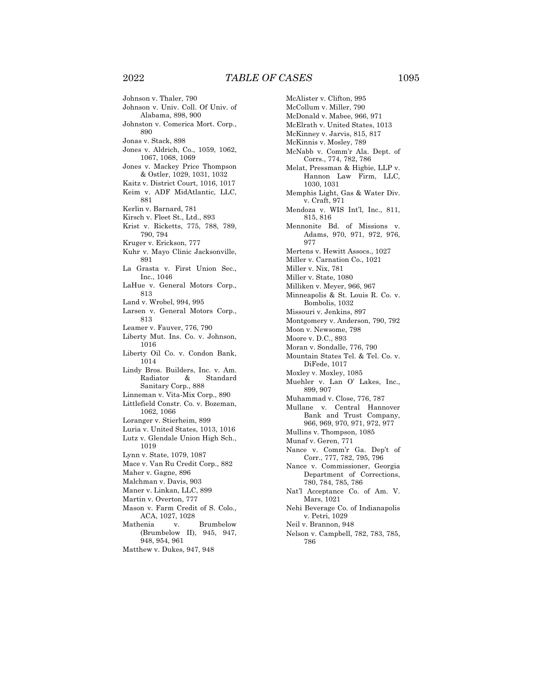Johnson v. Thaler, 790 Johnson v. Univ. Coll. Of Univ. of Alabama, 898, 900 Johnston v. Comerica Mort. Corp., 890 Jonas v. Stack, 898 Jones v. Aldrich, Co., 1059, 1062, 1067, 1068, 1069 Jones v. Mackey Price Thompson & Ostler, 1029, 1031, 1032 Kaitz v. District Court, 1016, 1017 Keim v. ADF MidAtlantic, LLC, 881 Kerlin v. Barnard, 781 Kirsch v. Fleet St., Ltd., 893 Krist v. Ricketts, 775, 788, 789, 790, 794 Kruger v. Erickson, 777 Kuhr v. Mayo Clinic Jacksonville, 891 La Grasta v. First Union Sec., Inc., 1046 LaHue v. General Motors Corp., 813 Land v. Wrobel, 994, 995 Larsen v. General Motors Corp., 813 Leamer v. Fauver, 776, 790 Liberty Mut. Ins. Co. v. Johnson, 1016 Liberty Oil Co. v. Condon Bank, 1014 Lindy Bros. Builders, Inc. v. Am.<br>Radiator & Standard Radiator & Standard Sanitary Corp., 888 Linneman v. Vita-Mix Corp., 890 Littlefield Constr. Co. v. Bozeman, 1062, 1066 Loranger v. Stierheim, 899 Luria v. United States, 1013, 1016 Lutz v. Glendale Union High Sch., 1019 Lynn v. State, 1079, 1087 Mace v. Van Ru Credit Corp., 882 Maher v. Gagne, 896 Malchman v. Davis, 903 Maner v. Linkan, LLC, 899 Martin v. Overton, 777 Mason v. Farm Credit of S. Colo., ACA, 1027, 1028 Mathenia v. Brumbelow (Brumbelow II), 945, 947, 948, 954, 961 Matthew v. Dukes, 947, 948

McAlister v. Clifton, 995 McCollum v. Miller, 790 McDonald v. Mabee, 966, 971 McElrath v. United States, 1013 McKinney v. Jarvis, 815, 817 McKinnis v. Mosley, 789 McNabb v. Comm'r Ala. Dept. of Corrs., 774, 782, 786 Melat, Pressman & Higbie, LLP v. Hannon Law Firm, LLC, 1030, 1031 Memphis Light, Gas & Water Div. v. Craft, 971 Mendoza v. WIS Int'l, Inc., 811, 815, 816 Mennonite Bd. of Missions v. Adams, 970, 971, 972, 976, 977 Mertens v. Hewitt Assocs., 1027 Miller v. Carnation Co., 1021 Miller v. Nix, 781 Miller v. State, 1080 Milliken v. Meyer, 966, 967 Minneapolis & St. Louis R. Co. v. Bombolis, 1032 Missouri v. Jenkins, 897 Montgomery v. Anderson, 790, 792 Moon v. Newsome, 798 Moore v. D.C., 893 Moran v. Sondalle, 776, 790 Mountain States Tel. & Tel. Co. v. DiFede, 1017 Moxley v. Moxley, 1085 Muehler v. Lan O' Lakes, Inc., 899, 907 Muhammad v. Close, 776, 787 Mullane v. Central Hannover Bank and Trust Company, 966, 969, 970, 971, 972, 977 Mullins v. Thompson, 1085 Munaf v. Geren, 771 Nance v. Comm'r Ga. Dep't of Corr., 777, 782, 795, 796 Nance v. Commissioner, Georgia Department of Corrections, 780, 784, 785, 786 Nat'l Acceptance Co. of Am. V. Mars, 1021 Nehi Beverage Co. of Indianapolis v. Petri, 1029 Neil v. Brannon, 948 Nelson v. Campbell, 782, 783, 785, 786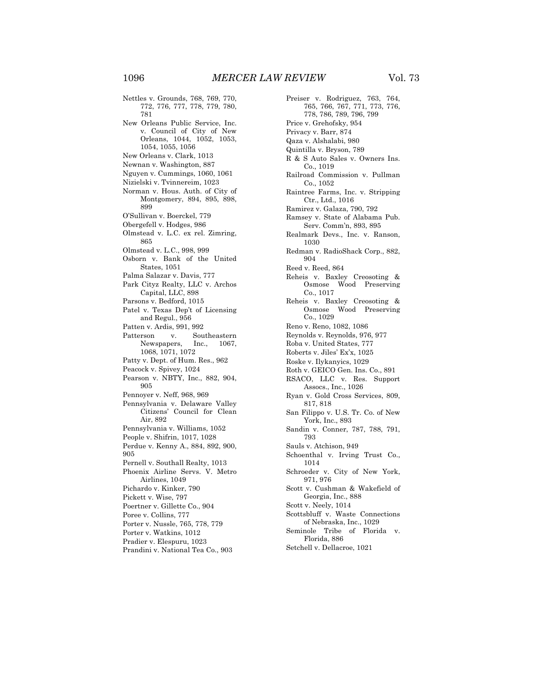Nettles v. Grounds, 768, 769, 770, 772, 776, 777, 778, 779, 780, 781 New Orleans Public Service, Inc. v. Council of City of New Orleans, 1044, 1052, 1053, 1054, 1055, 1056 New Orleans v. Clark, 1013 Newnan v. Washington, 887 Nguyen v. Cummings, 1060, 1061 Nizielski v. Tvinnereim, 1023 Norman v. Hous. Auth. of City of Montgomery, 894, 895, 898, 899 O'Sullivan v. Boerckel, 779 Obergefell v. Hodges, 986 Olmstead v. L.C. ex rel. Zimring, 865 Olmstead v. L.C., 998, 999 Osborn v. Bank of the United States, 1051 Palma Salazar v. Davis, 777 Park Cityz Realty, LLC v. Archos Capital, LLC, 898 Parsons v. Bedford, 1015 Patel v. Texas Dep't of Licensing and Regul., 956 Patten v. Ardis, 991, 992 Patterson v. Southeastern Newspapers, Inc., 1067, 1068, 1071, 1072 Patty v. Dept. of Hum. Res., 962 Peacock v. Spivey, 1024 Pearson v. NBTY, Inc., 882, 904, 905 Pennoyer v. Neff, 968, 969 Pennsylvania v. Delaware Valley Citizens' Council for Clean Air, 892 Pennsylvania v. Williams, 1052 People v. Shifrin, 1017, 1028 Perdue v. Kenny A., 884, 892, 900, 905 Pernell v. Southall Realty, 1013 Phoenix Airline Servs. V. Metro Airlines, 1049 Pichardo v. Kinker, 790 Pickett v. Wise, 797 Poertner v. Gillette Co., 904 Poree v. Collins, 777 Porter v. Nussle, 765, 778, 779

Porter v. Watkins, 1012

Pradier v. Elespuru, 1023 Prandini v. National Tea Co., 903 Preiser v. Rodriguez, 763, 764, 765, 766, 767, 771, 773, 776, 778, 786, 789, 796, 799 Price v. Grehofsky, 954 Privacy v. Barr, 874 Qaza v. Alshalabi, 980 Quintilla v. Bryson, 789 R & S Auto Sales v. Owners Ins. Co., 1019 Railroad Commission v. Pullman Co., 1052 Raintree Farms, Inc. v. Stripping Ctr., Ltd., 1016 Ramirez v. Galaza, 790, 792 Ramsey v. State of Alabama Pub. Serv. Comm'n, 893, 895 Realmark Devs., Inc. v. Ranson, 1030 Redman v. RadioShack Corp., 882, 904 Reed v. Reed, 864 Reheis v. Baxley Creosoting & Osmose Wood Preserving Co., 1017 Reheis v. Baxley Creosoting & Osmose Wood Preserving Co., 1029 Reno v. Reno, 1082, 1086 Reynolds v. Reynolds, 976, 977 Roba v. United States, 777 Roberts v. Jiles' Ex'x, 1025 Roske v. Ilykanyics, 1029 Roth v. GEICO Gen. Ins. Co., 891 RSACO, LLC v. Res. Support Assocs., Inc., 1026 Ryan v. Gold Cross Services, 809, 817, 818 San Filippo v. U.S. Tr. Co. of New York, Inc., 893 Sandin v. Conner, 787, 788, 791, 793 Sauls v. Atchison, 949 Schoenthal v. Irving Trust Co., 1014 Schroeder v. City of New York, 971, 976 Scott v. Cushman & Wakefield of Georgia, Inc., 888 Scott v. Neely, 1014 Scottsbluff v. Waste Connections of Nebraska, Inc., 1029 Seminole Tribe of Florida v. Florida, 886 Setchell v. Dellacroe, 1021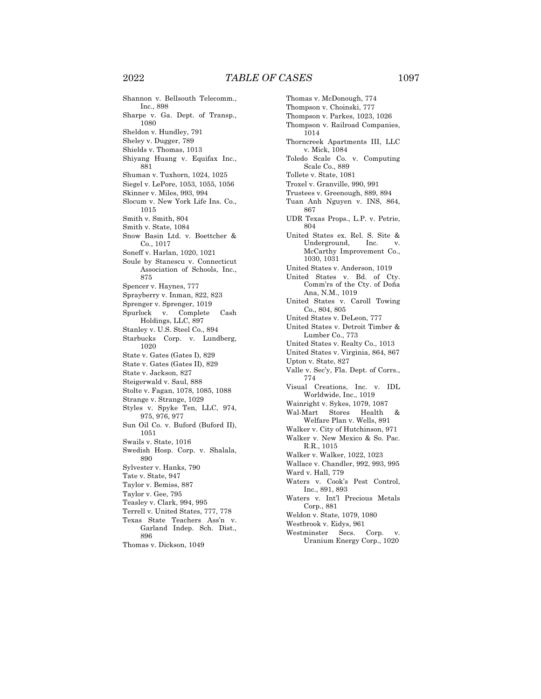Shannon v. Bellsouth Telecomm., Inc., 898 Sharpe v. Ga. Dept. of Transp., 1080 Sheldon v. Hundley, 791 Sheley v. Dugger, 789 Shields v. Thomas, 1013 Shiyang Huang v. Equifax Inc., 881 Shuman v. Tuxhorn, 1024, 1025 Siegel v. LePore, 1053, 1055, 1056 Skinner v. Miles, 993, 994 Slocum v. New York Life Ins. Co., 1015 Smith v. Smith, 804 Smith v. State, 1084 Snow Basin Ltd. v. Boettcher & Co., 1017 Soneff v. Harlan, 1020, 1021 Soule by Stanescu v. Connecticut Association of Schools, Inc., 875 Spencer v. Haynes, 777 Sprayberry v. Inman, 822, 823 Sprenger v. Sprenger, 1019 Spurlock v. Complete Cash Holdings, LLC, 897 Stanley v. U.S. Steel Co., 894 Starbucks Corp. v. Lundberg, 1020 State v. Gates (Gates I), 829 State v. Gates (Gates II), 829 State v. Jackson, 827 Steigerwald v. Saul, 888 Stolte v. Fagan, 1078, 1085, 1088 Strange v. Strange, 1029 Styles v. Spyke Ten, LLC, 974, 975, 976, 977 Sun Oil Co. v. Buford (Buford II), 1051 Swails v. State, 1016 Swedish Hosp. Corp. v. Shalala, 890 Sylvester v. Hanks, 790 Tate v. State, 947 Taylor v. Bemiss, 887 Taylor v. Gee, 795 Teasley v. Clark, 994, 995 Terrell v. United States, 777, 778 Texas State Teachers Ass'n v. Garland Indep. Sch. Dist., 896

Thomas v. Dickson, 1049

Thomas v. McDonough, 774 Thompson v. Choinski, 777 Thompson v. Parkes, 1023, 1026 Thompson v. Railroad Companies, 1014 Thorncreek Apartments III, LLC v. Mick, 1084 Toledo Scale Co. v. Computing Scale Co., 889 Tollete v. State, 1081 Troxel v. Granville, 990, 991 Trustees v. Greenough, 889, 894 Tuan Anh Nguyen v. INS, 864, 867 UDR Texas Props., L.P. v. Petrie, 804 United States ex. Rel. S. Site & Underground, Inc. v. McCarthy Improvement Co., 1030, 1031 United States v. Anderson, 1019 United States v. Bd. of Cty. Comm'rs of the Cty. of Doña Ana, N.M., 1019 United States v. Caroll Towing Co., 804, 805 United States v. DeLeon, 777 United States v. Detroit Timber & Lumber Co., 773 United States v. Realty Co., 1013 United States v. Virginia, 864, 867 Upton v. State, 827 Valle v. Sec'y, Fla. Dept. of Corrs., 774 Visual Creations, Inc. v. IDL Worldwide, Inc., 1019 Wainright v. Sykes, 1079, 1087 Wal-Mart Stores Health & Welfare Plan v. Wells, 891 Walker v. City of Hutchinson, 971 Walker v. New Mexico & So. Pac. R.R., 1015 Walker v. Walker, 1022, 1023 Wallace v. Chandler, 992, 993, 995 Ward v. Hall, 779 Waters v. Cook's Pest Control, Inc., 891, 893 Waters v. Int'l Precious Metals Corp., 881 Weldon v. State, 1079, 1080 Westbrook v. Eidys, 961 Westminster Secs. Corp. v. Uranium Energy Corp., 1020